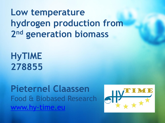# **Low temperature hydrogen production from 2 nd generation biomass**

**HyTIME 278855**

**Pieternel Claassen** Food & Biobased Research [www.hy-time.eu](http://www.projectwebsite.eu/) 

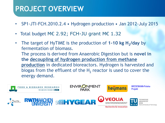### **PROJECT OVERVIEW**

- SP1-JTI-FCH.2010.2.4 Hydrogen production Jan 2012-July 2015
- Total budget ME 2.92; FCH-JU grant ME 1.32
- The target of HyTIME is the production of 1-10 kg H<sub>2</sub>/day by fermentation of biomass. The process is derived from Anaerobic Digestion but is **novel in the decoupling of hydrogen production from methane production** in dedicated bioreactors. Hydrogen is harvested and biogas from the effluent of the  $H_2$  reactor is used to cover the energy demand.

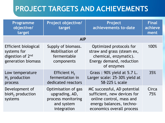### **PROJECT TARGETS AND ACHIEVEMENTS**

| <b>Programme</b><br>objective/<br>target                                                  | Project objective/<br>target                                                             | Project<br>achievements to-date                                                                                                                 | <b>Final</b><br>achieve<br>ment |  |  |  |  |  |  |  |
|-------------------------------------------------------------------------------------------|------------------------------------------------------------------------------------------|-------------------------------------------------------------------------------------------------------------------------------------------------|---------------------------------|--|--|--|--|--|--|--|
| <b>AIP</b>                                                                                |                                                                                          |                                                                                                                                                 |                                 |  |  |  |  |  |  |  |
| Efficient biological<br>systems for<br>digestion of 2 <sup>nd</sup><br>generation biomass | Supply of biomass.<br>Mobilisation of<br>fermentable<br>components                       | Optimized protocols for<br>straw and grass (steam ex,<br>chemical, enzymatic).<br>Energy demand, reduction<br>of enzymes                        | 100%                            |  |  |  |  |  |  |  |
| Low temperature<br>$H2$ production<br>process                                             | Efficient $H_2$<br>fermentation in<br>dedicated reactors                                 | Grass: 90% yield at 5.7 L.<br>Larger scale: 25-30% yield at<br>58-225 L scale                                                                   | 35%                             |  |  |  |  |  |  |  |
| Development of<br>bioH <sub>2</sub> production<br>systems                                 | Optimisation of gas<br>upgrading, AD,<br>process monitoring<br>and system<br>integration | MC successful, AD potential<br>sufficient, new devices for<br>online control, mass and<br>energy balances, techno-<br>economics overall process | Circa<br>75%                    |  |  |  |  |  |  |  |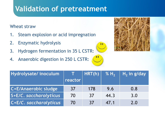### **Validation of pretreatment**

Wheat straw

- 1. Steam explosion or acid impregnation
- 2. Enzymatic hydrolysis
- 3. Hydrogen fermentation in 35 L CSTR:
- 4. Anaerobic digestion in 250 L CSTR:



| Hydrolysate/inoculum   |         | HRT(h) | % $H2$ | $H_2$ in g/day |
|------------------------|---------|--------|--------|----------------|
|                        | reactor |        |        |                |
| C+E/Anaerobic sludge   | 37      | 178    | 9.6    | 0.8            |
| S+E/C. saccharolyticus | 70      | 37     | 44.3   | 3.0            |
| C+E/C. saccharolyticus | 70      | 37     | 47.1   | 2.0            |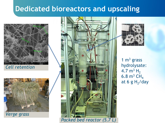### **Dedicated bioreactors and upscaling**





*Verge grass*



*Packed bed reactor (5.7 L)*



1  $m<sup>3</sup>$  grass hydrolysate: 4.7  $m^3 H_2$ 6.8  $m^3$  CH<sub>4</sub> at 6 g  $H_2$ /day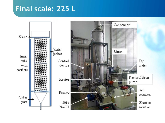### **Final scale: 225 L**

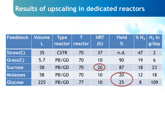### **Results of upscaling in dedicated reactors**

| Feedstock       | Volume | <b>Type</b><br>reactor |         | <b>HRT</b> | <b>Yield</b><br>% | % H <sub>2</sub> | $H2$ in |
|-----------------|--------|------------------------|---------|------------|-------------------|------------------|---------|
|                 |        |                        | reactor | (h)        |                   |                  | g/day   |
| Straw(C)        | 35     | <b>CSTR</b>            | 70      | 37         | n.d.              | 47               |         |
| Grass(C)        | 5.7    | PB/GD                  | 70      | 10         | 90                | 19               | 6       |
| Sucrose         | 58     | PB/GD                  | 70      | 20         | 87                | 18               | 23      |
| <b>Molasses</b> | 58     | PB/GD                  | 70      | 10         | 20                | 12               | 18      |
| Glucose         | 225    | PB/GD                  | 77      | 10         | 25                | 8                | 109     |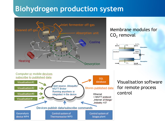### **Biohydrogen production system**



### Membrane modules for CO<sub>2</sub> removal





#### Visualisation software for remote process control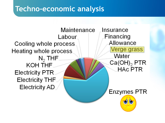### **Techno-economic analysis**

**Maintenance** Insurance Financing Labour Allowance Cooling whole process. Verge grass Heating whole process Water  $N_2$  THF  $Ca(OH)_{2}$  PTR **KOH THF HAC PTR Electricity PTR Electricity THF Electricity AD Enzymes PTR**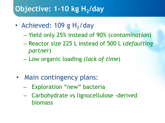## **Objective: 1-10 kg H<sup>2</sup> /day**

- Achieved: 109 g H<sub>2</sub>/day
	- Yield only 25% instead of 90% (*contamination*)
	- Reactor size 225 L instead of 500 L (*defaulting partner*)
	- Low organic loading (*lack of time*)
- Main contingency plans:
	- Exploration "new" bacteria
	- Carbohydrate vs lignocellulose -derived biomass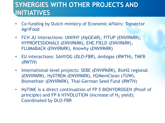### **SYNERGIES WITH OTHER PROJECTS AND INITIATIVES**

- Co-funding by Dutch ministry of Economic Affairs: Topsector AgriFood
- FCH JU interactions: UNIfHY (*HyGEAR*), FITUP (*ENVIPARK*), HYPROFESSIONALS (*ENVIPARK*), ENE.FIELD (*ENVIPARK*), FLUMABACK (*ENVIPARK*), Knowhy (*ENVIPARK*)
- EU interactions: SAHYOG (*DLO-FBR*), Ambigas (*RWTH*), TMFB (*RWTH*)
- International-level projects: SEBE (*ENVIPARK*), BioH2 regional (*ENVIPARK*), HySTREM (*ENVIPARK*), H2MemClean (*TUW*), Biomethair (*ENVIPARK*), Thai-German Seed Fund (*RWTH*)
- HyTIME is a direct continuation of FP 5 BIOHYDROGEN (Proof of principle) and FP 6 HYVOLUTION (increase of  $H<sub>2</sub>$  yield); Coordinated by DLO-FBR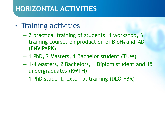### **HORIZONTAL ACTIVITIES**

- Training activities
	- 2 practical training of students, 1 workshop, 3 training courses on production of  $BioH<sub>2</sub>$  and AD (ENVIPARK)
	- 1 PhD, 2 Masters, 1 Bachelor student (TUW)
	- 1-4 Masters, 2 Bachelors, 1 Diplom student and 15 undergraduates (RWTH)
	- 1 PhD student, external training (DLO-FBR)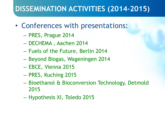### **DISSEMINATION ACTIVITIES (2014-2015)**

- Conferences with presentations:
	- PRES, Prague 2014
	- DECHEMA , Aachen 2014
	- Fuels of the Future, Berlin 2014
	- Beyond Biogas, Wageningen 2014
	- EBCE, Vienna 2015
	- PRES, Kuching 2015
	- Bioethanol & Bioconversion Technology, Detmold 2015
	- Hypothesis XI, Toledo 2015